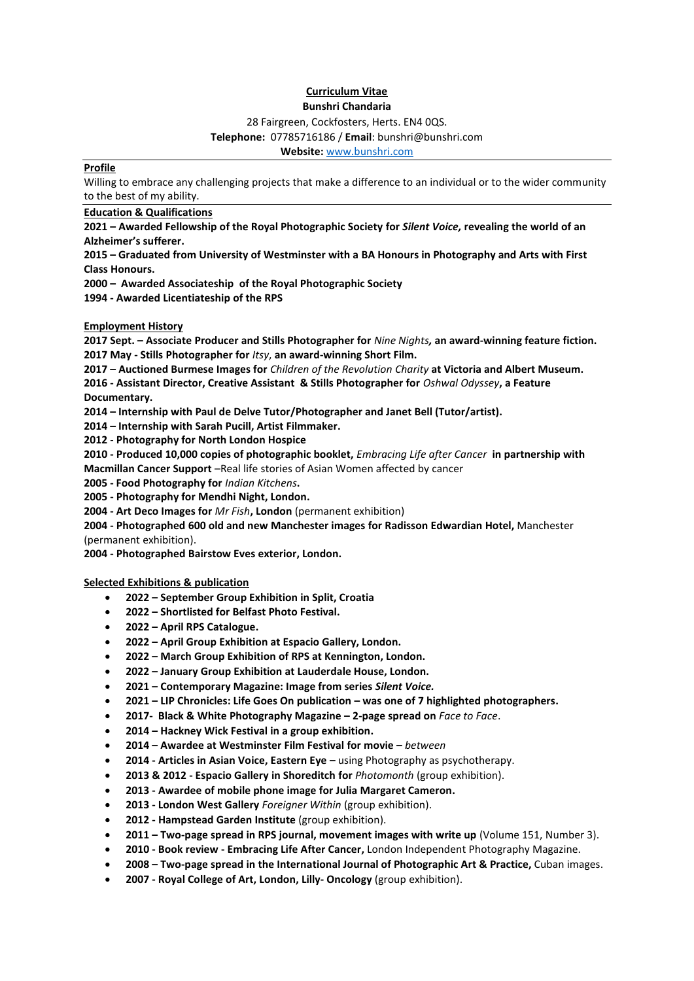#### **Curriculum Vitae Bunshri Chandaria**

28 Fairgreen, Cockfosters, Herts. EN4 0QS.

## **Telephone:** 07785716186 / **Email**: bunshri@bunshri.com

**Website:** [www.bunshri.com](http://www.bunshri.com/)

#### **Profile**

Willing to embrace any challenging projects that make a difference to an individual or to the wider community to the best of my ability.

#### **Education & Qualifications**

**2021 – Awarded Fellowship of the Royal Photographic Society for** *Silent Voice,* **revealing the world of an Alzheimer's sufferer.** 

**2015 – Graduated from University of Westminster with a BA Honours in Photography and Arts with First Class Honours.**

**2000 – Awarded Associateship of the Royal Photographic Society**

**1994 - Awarded Licentiateship of the RPS**

**Employment History**

**2017 Sept. – Associate Producer and Stills Photographer for** *Nine Nights,* **an award-winning feature fiction. 2017 May - Stills Photographer for** *Itsy*, **an award-winning Short Film.**

**2017 – Auctioned Burmese Images for** *Children of the Revolution Charity* **at Victoria and Albert Museum.**

**2016 - Assistant Director, Creative Assistant & Stills Photographer for** *Oshwal Odyssey***, a Feature Documentary.**

**2014 – Internship with Paul de Delve Tutor/Photographer and Janet Bell (Tutor/artist).**

**2014 – Internship with Sarah Pucill, Artist Filmmaker.** 

**2012** - **Photography for North London Hospice** 

**2010 - Produced 10,000 copies of photographic booklet,** *Embracing Life after Cancer* **in partnership with Macmillan Cancer Support** –Real life stories of Asian Women affected by cancer

**2005 - Food Photography for** *Indian Kitchens***.**

**2005 - Photography for Mendhi Night, London.**

**2004 - Art Deco Images for** *Mr Fish***, London** (permanent exhibition)

**2004 - Photographed 600 old and new Manchester images for Radisson Edwardian Hotel,** Manchester (permanent exhibition).

**2004 - Photographed Bairstow Eves exterior, London.**

#### **Selected Exhibitions & publication**

- **2022 – September Group Exhibition in Split, Croatia**
- **2022 – Shortlisted for Belfast Photo Festival.**
- **2022 – April RPS Catalogue.**
- **2022 – April Group Exhibition at Espacio Gallery, London.**
- **2022 – March Group Exhibition of RPS at Kennington, London.**
- **2022 – January Group Exhibition at Lauderdale House, London.**
- **2021 – Contemporary Magazine: Image from series** *Silent Voice.*
- **2021 – LIP Chronicles: Life Goes On publication – was one of 7 highlighted photographers.**
- **2017- Black & White Photography Magazine – 2-page spread on** *Face to Face*.
- **2014 – Hackney Wick Festival in a group exhibition.**
- **2014 – Awardee at Westminster Film Festival for movie –** *between*
- **2014 - Articles in Asian Voice, Eastern Eye –** using Photography as psychotherapy.
- **2013 & 2012 - Espacio Gallery in Shoreditch for** *Photomonth* (group exhibition).
- **2013 - Awardee of mobile phone image for Julia Margaret Cameron.**
- **2013 - London West Gallery** *Foreigner Within* (group exhibition).
- **2012 - Hampstead Garden Institute** (group exhibition).
- **2011 – Two-page spread in RPS journal, movement images with write up** (Volume 151, Number 3).
- **2010 - Book review - Embracing Life After Cancer,** London Independent Photography Magazine.
- **2008 – Two-page spread in the International Journal of Photographic Art & Practice,** Cuban images.
- **2007 - Royal College of Art, London, Lilly- Oncology** (group exhibition).